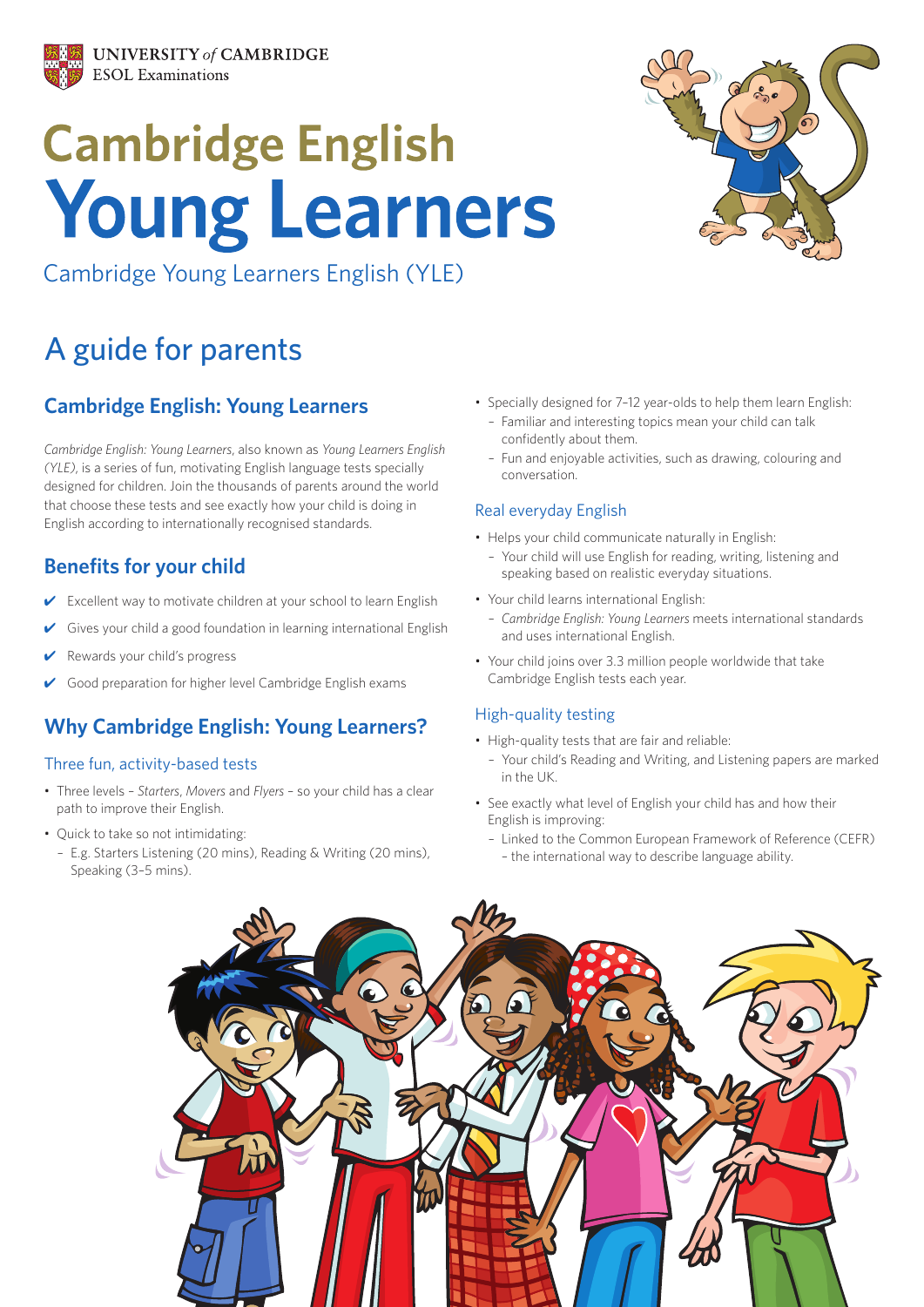

# **Cambridge English Young Learners**



Cambridge Young Learners English (YLE)

# A guide for parents

# **Cambridge English: Young Learners**

*Cambridge English: Young Learners*, also known as *Young Learners English (YLE)*, is a series of fun, motivating English language tests specially designed for children. Join the thousands of parents around the world that choose these tests and see exactly how your child is doing in English according to internationally recognised standards.

### **Benefits for your child**

- Excellent way to motivate children at your school to learn English
- Gives your child a good foundation in learning international English
- Rewards your child's progress
- Good preparation for higher level Cambridge English exams

# **Why Cambridge English: Young Learners?**

#### Three fun, activity-based tests

- Three levels *Starters*, *Movers* and *Flyers* so your child has a clear path to improve their English.
- Quick to take so not intimidating:
- E.g. Starters Listening (20 mins), Reading & Writing (20 mins), Speaking (3–5 mins).
- Specially designed for 7–12 year-olds to help them learn English:
	- Familiar and interesting topics mean your child can talk confidently about them.
	- Fun and enjoyable activities, such as drawing, colouring and conversation.

#### Real everyday English

- Helps your child communicate naturally in English:
	- Your child will use English for reading, writing, listening and speaking based on realistic everyday situations.
- Your child learns international English:
- *Cambridge English: Young Learners* meets international standards and uses international English.
- Your child joins over 3.3 million people worldwide that take Cambridge English tests each year.

#### High-quality testing

- High-quality tests that are fair and reliable:
- Your child's Reading and Writing, and Listening papers are marked in the UK.
- See exactly what level of English your child has and how their English is improving:
	- Linked to the Common European Framework of Reference (CEFR) – the international way to describe language ability.